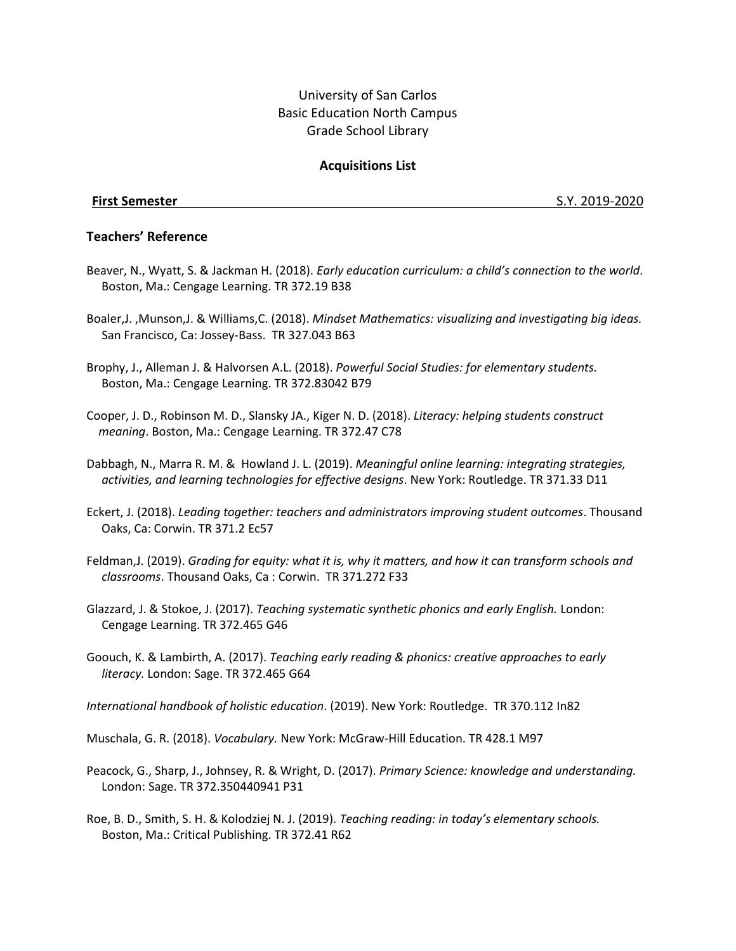# University of San Carlos Basic Education North Campus Grade School Library

## **Acquisitions List**

**First Semester** S.Y. 2019-2020

### **Teachers' Reference**

- Beaver, N., Wyatt, S. & Jackman H. (2018). *Early education curriculum: a child's connection to the world*. Boston, Ma.: Cengage Learning. TR 372.19 B38
- Boaler,J. ,Munson,J. & Williams,C. (2018). *Mindset Mathematics: visualizing and investigating big ideas.*  San Francisco, Ca: Jossey-Bass. TR 327.043 B63
- Brophy, J., Alleman J. & Halvorsen A.L. (2018). *Powerful Social Studies: for elementary students.* Boston, Ma.: Cengage Learning. TR 372.83042 B79
- Cooper, J. D., Robinson M. D., Slansky JA., Kiger N. D. (2018). *Literacy: helping students construct meaning*. Boston, Ma.: Cengage Learning. TR 372.47 C78
- Dabbagh, N., Marra R. M. & Howland J. L. (2019). *Meaningful online learning: integrating strategies, activities, and learning technologies for effective designs*. New York: Routledge. TR 371.33 D11
- Eckert, J. (2018). *Leading together: teachers and administrators improving student outcomes*. Thousand Oaks, Ca: Corwin. TR 371.2 Ec57
- Feldman,J. (2019). *Grading for equity: what it is, why it matters, and how it can transform schools and classrooms*. Thousand Oaks, Ca : Corwin. TR 371.272 F33
- Glazzard, J. & Stokoe, J. (2017). *Teaching systematic synthetic phonics and early English.* London: Cengage Learning. TR 372.465 G46
- Goouch, K. & Lambirth, A. (2017). *Teaching early reading & phonics: creative approaches to early literacy.* London: Sage. TR 372.465 G64
- *International handbook of holistic education*. (2019). New York: Routledge. TR 370.112 In82
- Muschala, G. R. (2018). *Vocabulary.* New York: McGraw-Hill Education. TR 428.1 M97
- Peacock, G., Sharp, J., Johnsey, R. & Wright, D. (2017). *Primary Science: knowledge and understanding.*  London: Sage. TR 372.350440941 P31
- Roe, B. D., Smith, S. H. & Kolodziej N. J. (2019). *Teaching reading: in today's elementary schools.* Boston, Ma.: Critical Publishing. TR 372.41 R62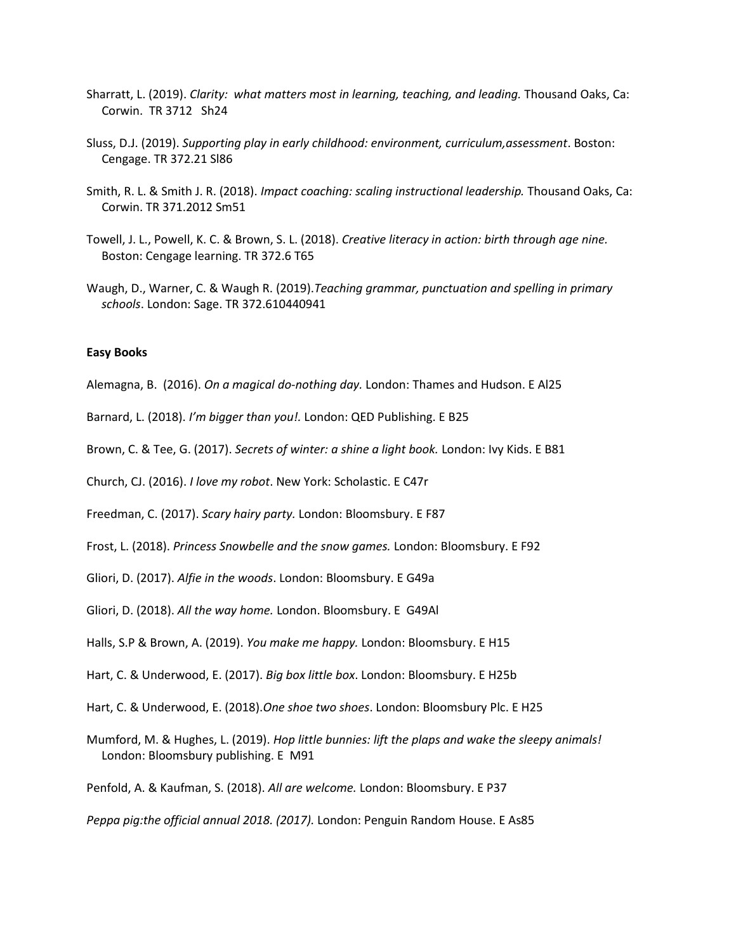- Sharratt, L. (2019). *Clarity: what matters most in learning, teaching, and leading.* Thousand Oaks, Ca: Corwin. TR 3712 Sh24
- Sluss, D.J. (2019). *Supporting play in early childhood: environment, curriculum,assessment*. Boston: Cengage. TR 372.21 Sl86
- Smith, R. L. & Smith J. R. (2018). *Impact coaching: scaling instructional leadership.* Thousand Oaks, Ca: Corwin. TR 371.2012 Sm51
- Towell, J. L., Powell, K. C. & Brown, S. L. (2018). *Creative literacy in action: birth through age nine.* Boston: Cengage learning. TR 372.6 T65
- Waugh, D., Warner, C. & Waugh R. (2019).*Teaching grammar, punctuation and spelling in primary schools*. London: Sage. TR 372.610440941

#### **Easy Books**

- Alemagna, B. (2016). *On a magical do-nothing day.* London: Thames and Hudson. E Al25
- Barnard, L. (2018). *I'm bigger than you!.* London: QED Publishing. E B25
- Brown, C. & Tee, G. (2017). *Secrets of winter: a shine a light book.* London: Ivy Kids. E B81
- Church, CJ. (2016). *I love my robot*. New York: Scholastic. E C47r
- Freedman, C. (2017). *Scary hairy party.* London: Bloomsbury. E F87
- Frost, L. (2018). *Princess Snowbelle and the snow games.* London: Bloomsbury. E F92
- Gliori, D. (2017). *Alfie in the woods*. London: Bloomsbury. E G49a
- Gliori, D. (2018). *All the way home.* London. Bloomsbury. E G49Al
- Halls, S.P & Brown, A. (2019). *You make me happy.* London: Bloomsbury. E H15
- Hart, C. & Underwood, E. (2017). *Big box little box*. London: Bloomsbury. E H25b
- Hart, C. & Underwood, E. (2018).*One shoe two shoes*. London: Bloomsbury Plc. E H25
- Mumford, M. & Hughes, L. (2019). *Hop little bunnies: lift the plaps and wake the sleepy animals!* London: Bloomsbury publishing. E M91
- Penfold, A. & Kaufman, S. (2018). *All are welcome.* London: Bloomsbury. E P37
- *Peppa pig:the official annual 2018. (2017).* London: Penguin Random House. E As85